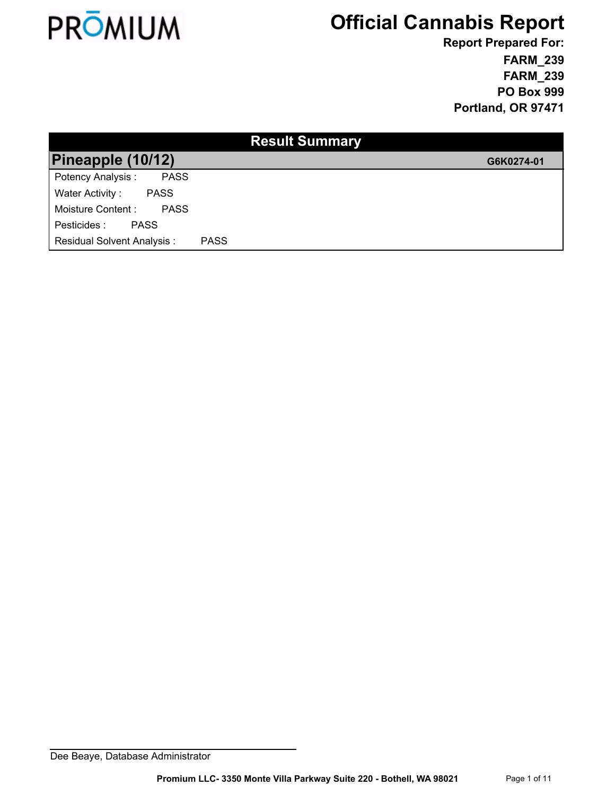

**FARM\_239 FARM\_239 PO Box 999 Portland, OR 97471 Report Prepared For:**

| <b>Result Summary</b>             |             |            |  |  |  |  |
|-----------------------------------|-------------|------------|--|--|--|--|
| Pineapple (10/12)                 |             | G6K0274-01 |  |  |  |  |
| Potency Analysis:<br><b>PASS</b>  |             |            |  |  |  |  |
| Water Activity:<br><b>PASS</b>    |             |            |  |  |  |  |
| Moisture Content :<br><b>PASS</b> |             |            |  |  |  |  |
| Pesticides :<br><b>PASS</b>       |             |            |  |  |  |  |
| <b>Residual Solvent Analysis:</b> | <b>PASS</b> |            |  |  |  |  |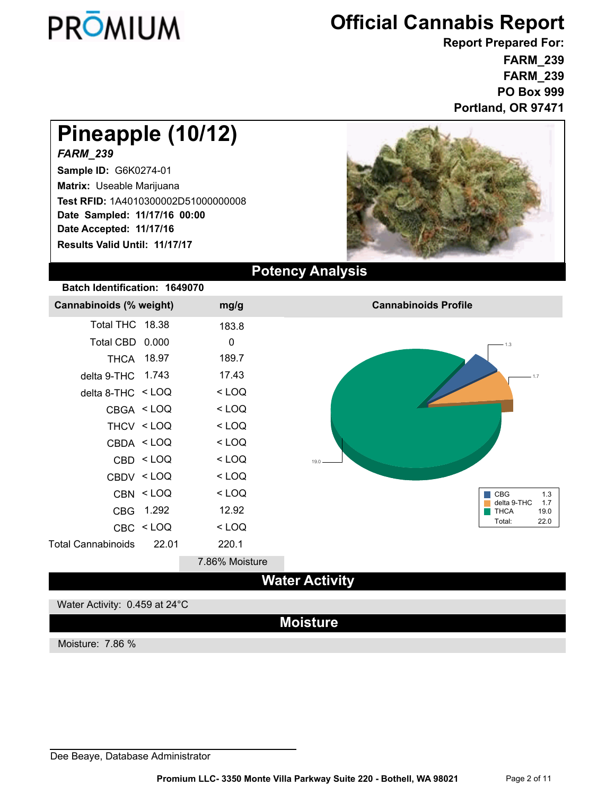

**FARM\_239 FARM\_239 PO Box 999 Portland, OR 97471 Report Prepared For:**

# **Pineapple (10/12)**

### *FARM\_239*

**Sample ID:** G6K0274-01 **Matrix:** Useable Marijuana **Date Accepted: 11/17/16 Test RFID:** 1A4010300002D51000000008 **Results Valid Until: 11/17/17 Date Sampled: 11/17/16 00:00**



### **Potency Analysis**

### **Batch Identification: 1649070**

| Cannabinoids (% weight)   |                                                                                   | mg/g           | <b>Cannabinoids Profile</b>               |
|---------------------------|-----------------------------------------------------------------------------------|----------------|-------------------------------------------|
| Total THC 18.38           |                                                                                   | 183.8          |                                           |
| Total CBD 0.000           |                                                                                   | $\mathbf 0$    | $-1.3$                                    |
|                           | THCA 18.97                                                                        | 189.7          |                                           |
| delta 9-THC 1.743         |                                                                                   | 17.43          | .1.7                                      |
| delta 8-THC $\le$ LOQ     |                                                                                   | $<$ LOQ        |                                           |
|                           | CBGA <loq< td=""><td><math>&lt;</math> LOQ</td><td></td></loq<>                   | $<$ LOQ        |                                           |
|                           | THCV <loq< td=""><td><math>&lt;</math> LOQ</td><td></td></loq<>                   | $<$ LOQ        |                                           |
|                           | CBDA <loq< td=""><td><math>&lt;</math> LOQ</td><td></td></loq<>                   | $<$ LOQ        |                                           |
|                           | CBD <loq< td=""><td><math>&lt;</math> LOQ</td><td><math>19.0 -</math></td></loq<> | $<$ LOQ        | $19.0 -$                                  |
|                           | CBDV <loq< td=""><td><math>&lt;</math> LOQ</td><td></td></loq<>                   | $<$ LOQ        |                                           |
|                           | CBN <loq< td=""><td><math>&lt;</math> LOQ</td><td><b>CBG</b><br/>1.3</td></loq<>  | $<$ LOQ        | <b>CBG</b><br>1.3                         |
|                           | CBG 1.292                                                                         | 12.92          | delta 9-THC<br>1.7<br><b>THCA</b><br>19.0 |
|                           | CBC <loq< td=""><td><math>&lt;</math> LOQ</td><td>22.0<br/>Total:</td></loq<>     | $<$ LOQ        | 22.0<br>Total:                            |
| <b>Total Cannabinoids</b> | 22.01                                                                             | 220.1          |                                           |
|                           |                                                                                   | 7.86% Moisture |                                           |

### **Water Activity**

#### Water Activity: 0.459 at 24°C

### **Moisture**

Moisture: 7.86 %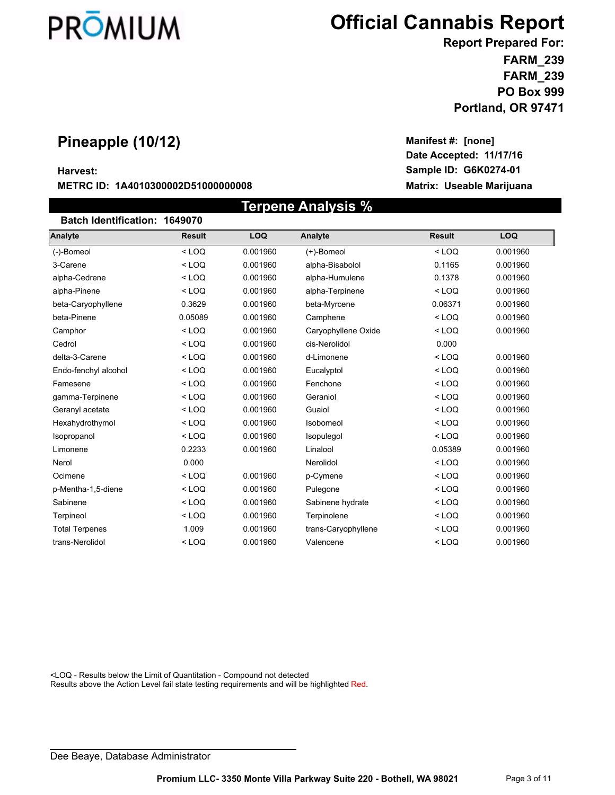

**Date Accepted: 11/17/16**

**Manifest #: [none]**

**FARM\_239 FARM\_239 PO Box 999 Portland, OR 97471 Report Prepared For:**

### **Pineapple (10/12)**

#### **Harvest: Sample ID: G6K0274-01**

#### **METRC ID: 1A4010300002D51000000008 Matrix: Useable Marijuana**

| Terpene Analysis %            |               |            |                     |               |          |  |  |  |
|-------------------------------|---------------|------------|---------------------|---------------|----------|--|--|--|
| Batch Identification: 1649070 |               |            |                     |               |          |  |  |  |
| <b>Analyte</b>                | <b>Result</b> | <b>LOQ</b> | Analyte             | <b>Result</b> | LOQ      |  |  |  |
| (-)-Bomeol                    | $<$ LOQ       | 0.001960   | (+)-Bomeol          | $<$ LOO       | 0.001960 |  |  |  |
| 3-Carene                      | $<$ LOQ       | 0.001960   | alpha-Bisabolol     | 0.1165        | 0.001960 |  |  |  |
| alpha-Cedrene                 | $<$ LOQ       | 0.001960   | alpha-Humulene      | 0.1378        | 0.001960 |  |  |  |
| alpha-Pinene                  | $<$ LOQ       | 0.001960   | alpha-Terpinene     | $<$ LOQ       | 0.001960 |  |  |  |
| beta-Caryophyllene            | 0.3629        | 0.001960   | beta-Myrcene        | 0.06371       | 0.001960 |  |  |  |
| beta-Pinene                   | 0.05089       | 0.001960   | Camphene            | $<$ LOQ       | 0.001960 |  |  |  |
| Camphor                       | $<$ LOQ       | 0.001960   | Caryophyllene Oxide | $<$ LOQ       | 0.001960 |  |  |  |
| Cedrol                        | $<$ LOQ       | 0.001960   | cis-Nerolidol       | 0.000         |          |  |  |  |
| delta-3-Carene                | $<$ LOQ       | 0.001960   | d-Limonene          | $<$ LOQ       | 0.001960 |  |  |  |
| Endo-fenchyl alcohol          | $<$ LOQ       | 0.001960   | Eucalyptol          | $<$ LOQ       | 0.001960 |  |  |  |
| Famesene                      | $<$ LOQ       | 0.001960   | Fenchone            | $<$ LOQ       | 0.001960 |  |  |  |
| gamma-Terpinene               | $<$ LOQ       | 0.001960   | Geraniol            | $<$ LOQ       | 0.001960 |  |  |  |
| Geranyl acetate               | $<$ LOQ       | 0.001960   | Guaiol              | $<$ LOQ       | 0.001960 |  |  |  |
| Hexahydrothymol               | $<$ LOQ       | 0.001960   | Isobomeol           | $<$ LOQ       | 0.001960 |  |  |  |
| Isopropanol                   | $<$ LOQ       | 0.001960   | Isopulegol          | $<$ LOQ       | 0.001960 |  |  |  |
| Limonene                      | 0.2233        | 0.001960   | Linalool            | 0.05389       | 0.001960 |  |  |  |
| Nerol                         | 0.000         |            | Nerolidol           | $<$ LOQ       | 0.001960 |  |  |  |
| Ocimene                       | $<$ LOQ       | 0.001960   | p-Cymene            | $<$ LOQ       | 0.001960 |  |  |  |
| p-Mentha-1,5-diene            | $<$ LOQ       | 0.001960   | Pulegone            | $<$ LOQ       | 0.001960 |  |  |  |
| Sabinene                      | $<$ LOQ       | 0.001960   | Sabinene hydrate    | $<$ LOQ       | 0.001960 |  |  |  |
| Terpineol                     | $<$ LOQ       | 0.001960   | Terpinolene         | $<$ LOQ       | 0.001960 |  |  |  |
| <b>Total Terpenes</b>         | 1.009         | 0.001960   | trans-Caryophyllene | $<$ LOQ       | 0.001960 |  |  |  |
| trans-Nerolidol               | $<$ LOQ       | 0.001960   | Valencene           | $<$ LOQ       | 0.001960 |  |  |  |

<LOQ - Results below the Limit of Quantitation - Compound not detected

Results above the Action Level fail state testing requirements and will be highlighted Red.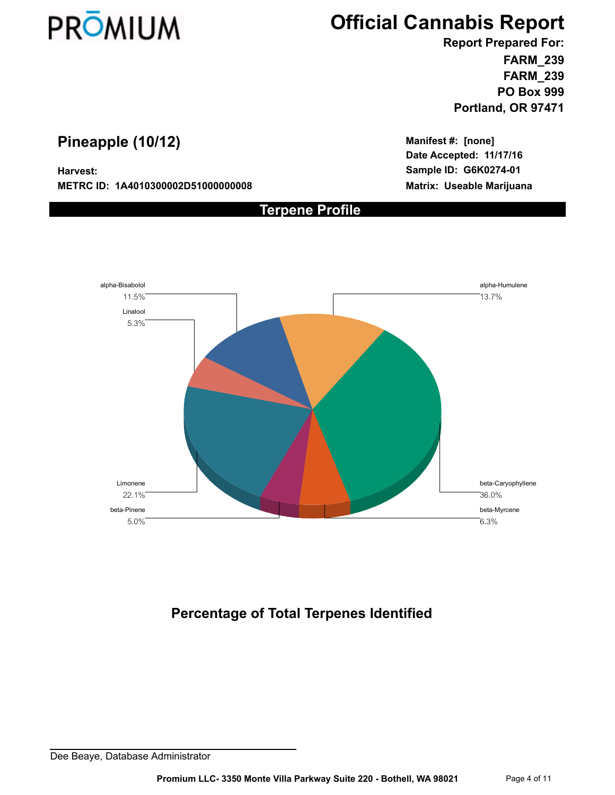

**FARM\_239 FARM\_239 PO Box 999 Portland, OR 97471 Report Prepared For:**

### **Pineapple (10/12)**

**METRC ID: 1A4010300002D51000000008 Matrix: Useable Marijuana**

**Date Accepted: 11/17/16 Harvest: Sample ID: G6K0274-01 Manifest #: [none]**



**Terpene Profile**

### **Percentage of Total Terpenes Identified**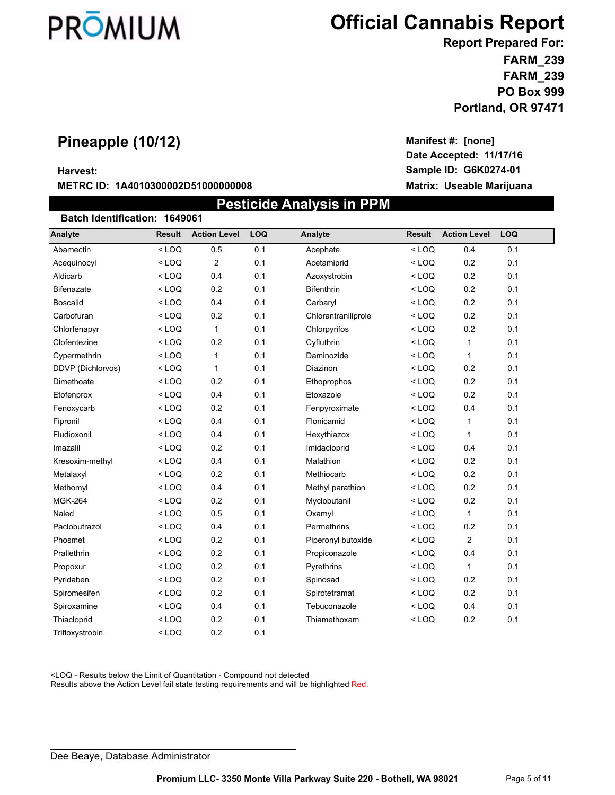

**Date Accepted: 11/17/16**

**Manifest #: [none]**

**FARM\_239 FARM\_239 PO Box 999 Report Prepared For:**

### **Portland, OR 97471**

### **Pineapple (10/12)**

#### **Harvest: Sample ID: G6K0274-01**

#### **METRC ID: 1A4010300002D51000000008 Matrix: Useable Marijuana**

 **Pesticide Analysis in PPM Batch Identification: 1649061 Analyte Result Action Level LOQ Analyte Result Action Level LOQ** Abamectin < LOQ 0.5 0.1 Acephate < LOQ 0.4 0.1 Acequinocyl < LOQ 2 0.1 Acetamiprid < LOQ 0.2 0.1 Aldicarb < LOQ 0.4 0.1 Azoxystrobin < LOQ 0.2 0.1 Bifenazate < LOQ 0.2 0.1 Bifenthrin < LOQ 0.2 0.1 Boscalid < LOQ 0.4 0.1 Carbaryl < LOQ 0.2 0.1 Carbofuran < LOQ 0.2 0.1 Chlorantraniliprole < LOQ 0.2 0.1 Chlorfenapyr < LOQ 1 0.1 Chlorpyrifos < LOQ 0.2 0.1 Clofentezine < LOQ 0.2 0.1 Cyfluthrin < LOQ 1 0.1 Cypermethrin < LOQ 1 0.1 Daminozide < LOQ 1 0.1 DDVP (Dichlorvos) < LOQ 1 0.1 Diazinon < LOQ 0.2 0.1 Dimethoate < LOQ 0.2 0.1 Ethoprophos < LOQ 0.2 0.1 Etofenprox < LOQ 0.4 0.1 Etoxazole < LOQ 0.2 0.1 Fenoxycarb < LOQ 0.2 0.1 Fenpyroximate < LOQ 0.4 0.1 Fipronil < LOQ 0.4 0.1 Flonicamid < LOQ 1 0.1 Fludioxonil < LOQ 0.4 0.1 Hexythiazox < LOQ 1 0.1 Imazalil < LOQ 0.2 0.1 Imidacloprid < LOQ 0.4 0.1 Kresoxim-methyl < LOQ 0.4 0.1 Malathion < LOQ 0.2 0.1 Metalaxyl < LOQ 0.2 0.1 Methiocarb < LOQ 0.2 0.1 Methomyl < LOQ 0.4 0.1 Methyl parathion < LOQ 0.2 0.1 MGK-264 < LOQ 0.2 0.1 Myclobutanil < LOQ 0.2 0.1 Naled < LOQ 0.5 0.1 Oxamyl < LOQ 1 0.1 Paclobutrazol < LOQ 0.4 0.1 Permethrins < LOQ 0.2 0.1 Phosmet < LOQ 0.2 0.1 Piperonyl butoxide < LOQ 2 0.1 Prallethrin < LOQ 0.2 0.1 Propiconazole < LOQ 0.4 0.1 Propoxur < LOQ 0.2 0.1 Pyrethrins < LOQ 1 0.1 Pyridaben < LOQ 0.2 0.1 Spinosad < LOQ 0.2 0.1 Spiromesifen < LOQ 0.2 0.1 Spirotetramat < LOQ 0.2 0.1 Spiroxamine < LOQ 0.4 0.1 Tebuconazole < LOQ 0.4 0.1 Thiacloprid < LOQ 0.2 0.1 Thiamethoxam < LOQ 0.2 0.1

<LOQ - Results below the Limit of Quantitation - Compound not detected

Trifloxystrobin < LOQ 0.2 0.1

Results above the Action Level fail state testing requirements and will be highlighted Red.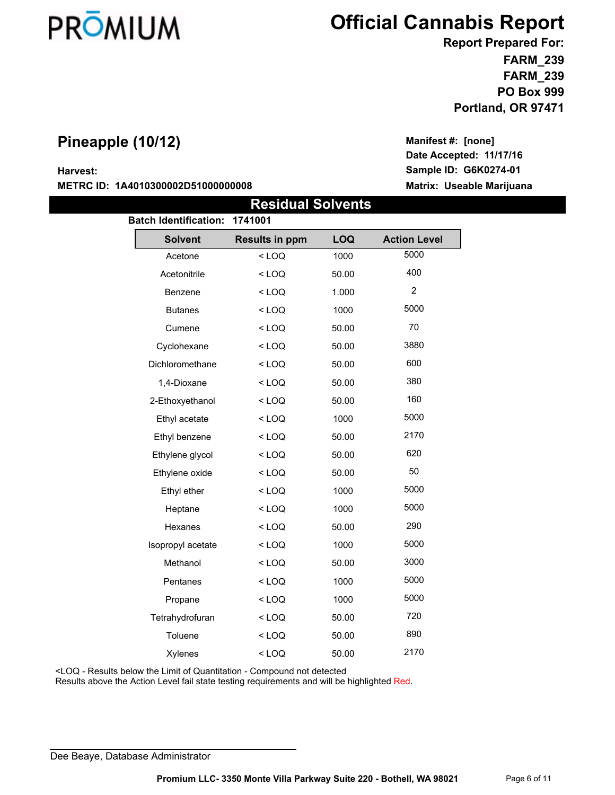

**Date Accepted: 11/17/16**

**Manifest #: [none]**

**FARM\_239 FARM\_239 PO Box 999 Report Prepared For:**

### **Portland, OR 97471**

### **Pineapple (10/12)**

**Harvest: Sample ID: G6K0274-01**

**METRC ID: 1A4010300002D51000000008 Matrix: Useable Marijuana**

 **Residual Solvents Batch Identification: 1741001 Solvent Results in ppm LOQ Action Level** Acetone < LOQ 1000 5000 Acetonitrile < LOQ 50.00 400 Benzene < LOQ 1.000 2 Butanes < LOQ 1000 5000 Cumene < LOQ 50.00 70 Cyclohexane < LOQ 50.00 3880 Dichloromethane < LOQ 50.00 600 1,4-Dioxane < LOQ 50.00 380 2-Ethoxyethanol < LOQ 50.00 160 Ethyl acetate  $\leq$  LOQ 1000 5000 Ethyl benzene < LOQ 50.00 2170 Ethylene glycol < LOQ 50.00 620 Ethylene oxide  $\leq$  LOQ 50.00 50 Ethyl ether  $\leq$  LOQ 1000 5000 Heptane < LOQ 1000 5000 Hexanes < LOQ 50.00 290 Isopropyl acetate  $\sim$  LOQ 1000 5000 Methanol < LOQ 50.00 3000 Pentanes < LOQ 1000 5000 Propane < LOQ 1000 5000 Tetrahydrofuran < LOQ 50.00 720 Toluene < LOQ 50.00 890 Xylenes < LOQ 50.00 2170

<LOQ - Results below the Limit of Quantitation - Compound not detected

Results above the Action Level fail state testing requirements and will be highlighted Red.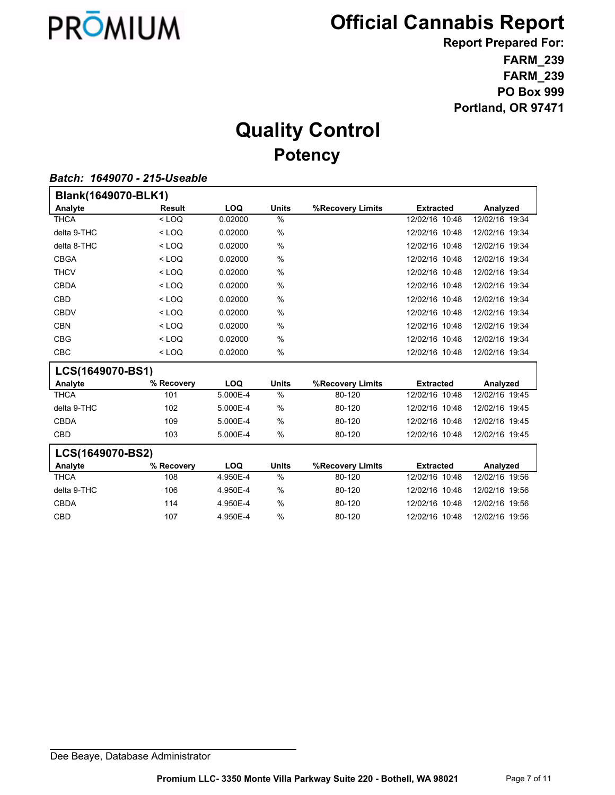

**FARM\_239 FARM\_239 PO Box 999 Portland, OR 97471 Report Prepared For:**

# **Quality Control Potency**

#### *Batch: 1649070 - 215-Useable*

| Blank(1649070-BLK1) |            |            |               |                  |                  |                |
|---------------------|------------|------------|---------------|------------------|------------------|----------------|
| Analyte             | Result     | <b>LOQ</b> | <b>Units</b>  | %Recovery Limits | <b>Extracted</b> | Analyzed       |
| <b>THCA</b>         | $<$ LOQ    | 0.02000    | %             |                  | 12/02/16 10:48   | 12/02/16 19:34 |
| delta 9-THC         | $<$ LOQ    | 0.02000    | %             |                  | 12/02/16 10:48   | 12/02/16 19:34 |
| delta 8-THC         | $<$ LOQ    | 0.02000    | %             |                  | 12/02/16 10:48   | 12/02/16 19:34 |
| <b>CBGA</b>         | $<$ LOQ    | 0.02000    | %             |                  | 12/02/16 10:48   | 12/02/16 19:34 |
| <b>THCV</b>         | $<$ LOQ    | 0.02000    | %             |                  | 12/02/16 10:48   | 12/02/16 19:34 |
| <b>CBDA</b>         | $<$ LOQ    | 0.02000    | %             |                  | 12/02/16 10:48   | 12/02/16 19:34 |
| <b>CBD</b>          | $<$ LOQ    | 0.02000    | %             |                  | 12/02/16 10:48   | 12/02/16 19:34 |
| <b>CBDV</b>         | $<$ LOQ    | 0.02000    | %             |                  | 12/02/16 10:48   | 12/02/16 19:34 |
| <b>CBN</b>          | $<$ LOQ    | 0.02000    | %             |                  | 12/02/16 10:48   | 12/02/16 19:34 |
| <b>CBG</b>          | $<$ LOQ    | 0.02000    | %             |                  | 12/02/16 10:48   | 12/02/16 19:34 |
| <b>CBC</b>          | $<$ LOQ    | 0.02000    | %             |                  | 12/02/16 10:48   | 12/02/16 19:34 |
| LCS(1649070-BS1)    |            |            |               |                  |                  |                |
| Analyte             | % Recovery | <b>LOQ</b> | <b>Units</b>  | %Recovery Limits | <b>Extracted</b> | Analyzed       |
| <b>THCA</b>         | 101        | 5.000E-4   | $\frac{0}{0}$ | 80-120           | 12/02/16 10:48   | 12/02/16 19:45 |
| delta 9-THC         | 102        | 5.000E-4   | %             | 80-120           | 12/02/16 10:48   | 12/02/16 19:45 |
| <b>CBDA</b>         | 109        | 5.000E-4   | %             | 80-120           | 12/02/16 10:48   | 12/02/16 19:45 |
| <b>CBD</b>          | 103        | 5.000E-4   | %             | 80-120           | 12/02/16 10:48   | 12/02/16 19:45 |
| LCS(1649070-BS2)    |            |            |               |                  |                  |                |
| Analyte             | % Recovery | <b>LOQ</b> | <b>Units</b>  | %Recovery Limits | <b>Extracted</b> | Analyzed       |
| <b>THCA</b>         | 108        | 4.950E-4   | $\frac{0}{0}$ | 80-120           | 12/02/16 10:48   | 12/02/16 19:56 |
| delta 9-THC         | 106        | 4.950E-4   | $\%$          | 80-120           | 12/02/16 10:48   | 12/02/16 19:56 |
| <b>CBDA</b>         | 114        | 4.950E-4   | $\%$          | 80-120           | 12/02/16 10:48   | 12/02/16 19:56 |
| <b>CBD</b>          | 107        | 4.950E-4   | %             | 80-120           | 12/02/16 10:48   | 12/02/16 19:56 |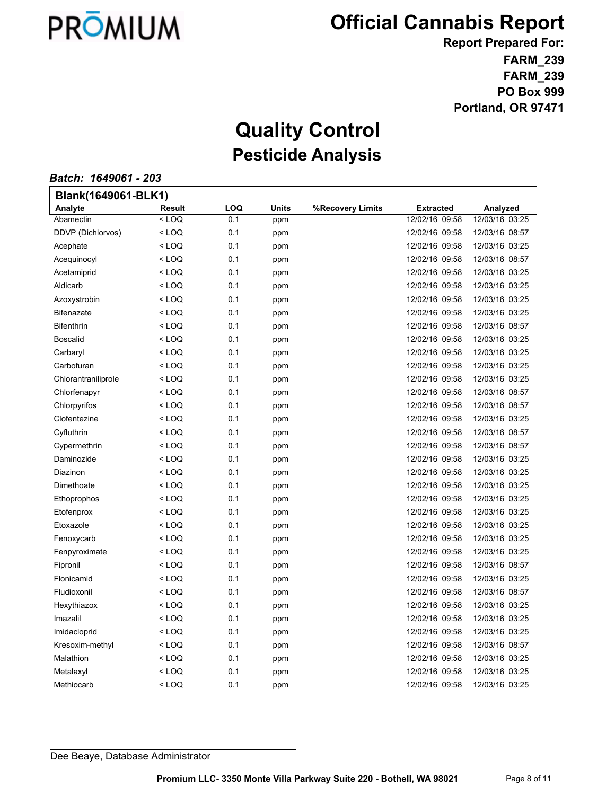

**FARM\_239 FARM\_239 PO Box 999 Portland, OR 97471 Report Prepared For:**

## **Quality Control Pesticide Analysis**

*Batch: 1649061 - 203*

| Blank(1649061-BLK1) |                                                                                                    |     |              |                  |                  |                |  |
|---------------------|----------------------------------------------------------------------------------------------------|-----|--------------|------------------|------------------|----------------|--|
| Analyte             | <b>Result</b>                                                                                      | LOQ | <b>Units</b> | %Recovery Limits | <b>Extracted</b> | Analyzed       |  |
| Abamectin           | $<$ LOQ                                                                                            | 0.1 | ppm          |                  | 12/02/16 09:58   | 12/03/16 03:25 |  |
| DDVP (Dichlorvos)   | <loq< td=""><td>0.1</td><td>ppm</td><td></td><td>12/02/16 09:58</td><td>12/03/16 08:57</td></loq<> | 0.1 | ppm          |                  | 12/02/16 09:58   | 12/03/16 08:57 |  |
| Acephate            | < LOQ                                                                                              | 0.1 | ppm          |                  | 12/02/16 09:58   | 12/03/16 03:25 |  |
| Acequinocyl         | $<$ LOQ                                                                                            | 0.1 | ppm          |                  | 12/02/16 09:58   | 12/03/16 08:57 |  |
| Acetamiprid         | <loq< td=""><td>0.1</td><td>ppm</td><td></td><td>12/02/16 09:58</td><td>12/03/16 03:25</td></loq<> | 0.1 | ppm          |                  | 12/02/16 09:58   | 12/03/16 03:25 |  |
| Aldicarb            | < LOQ                                                                                              | 0.1 | ppm          |                  | 12/02/16 09:58   | 12/03/16 03:25 |  |
| Azoxystrobin        | < LOQ                                                                                              | 0.1 | ppm          |                  | 12/02/16 09:58   | 12/03/16 03:25 |  |
| <b>Bifenazate</b>   | <loq< td=""><td>0.1</td><td>ppm</td><td></td><td>12/02/16 09:58</td><td>12/03/16 03:25</td></loq<> | 0.1 | ppm          |                  | 12/02/16 09:58   | 12/03/16 03:25 |  |
| <b>Bifenthrin</b>   | <loq< td=""><td>0.1</td><td>ppm</td><td></td><td>12/02/16 09:58</td><td>12/03/16 08:57</td></loq<> | 0.1 | ppm          |                  | 12/02/16 09:58   | 12/03/16 08:57 |  |
| <b>Boscalid</b>     | <loq< td=""><td>0.1</td><td>ppm</td><td></td><td>12/02/16 09:58</td><td>12/03/16 03:25</td></loq<> | 0.1 | ppm          |                  | 12/02/16 09:58   | 12/03/16 03:25 |  |
| Carbaryl            | < LOQ                                                                                              | 0.1 | ppm          |                  | 12/02/16 09:58   | 12/03/16 03:25 |  |
| Carbofuran          | <loq< td=""><td>0.1</td><td>ppm</td><td></td><td>12/02/16 09:58</td><td>12/03/16 03:25</td></loq<> | 0.1 | ppm          |                  | 12/02/16 09:58   | 12/03/16 03:25 |  |
| Chlorantraniliprole | <loq< td=""><td>0.1</td><td>ppm</td><td></td><td>12/02/16 09:58</td><td>12/03/16 03:25</td></loq<> | 0.1 | ppm          |                  | 12/02/16 09:58   | 12/03/16 03:25 |  |
| Chlorfenapyr        | < LOQ                                                                                              | 0.1 | ppm          |                  | 12/02/16 09:58   | 12/03/16 08:57 |  |
| Chlorpyrifos        | <loq< td=""><td>0.1</td><td>ppm</td><td></td><td>12/02/16 09:58</td><td>12/03/16 08:57</td></loq<> | 0.1 | ppm          |                  | 12/02/16 09:58   | 12/03/16 08:57 |  |
| Clofentezine        | <loq< td=""><td>0.1</td><td>ppm</td><td></td><td>12/02/16 09:58</td><td>12/03/16 03:25</td></loq<> | 0.1 | ppm          |                  | 12/02/16 09:58   | 12/03/16 03:25 |  |
| Cyfluthrin          | < LOQ                                                                                              | 0.1 | ppm          |                  | 12/02/16 09:58   | 12/03/16 08:57 |  |
| Cypermethrin        | < LOQ                                                                                              | 0.1 | ppm          |                  | 12/02/16 09:58   | 12/03/16 08:57 |  |
| Daminozide          | < LOQ                                                                                              | 0.1 | ppm          |                  | 12/02/16 09:58   | 12/03/16 03:25 |  |
| Diazinon            | < LOQ                                                                                              | 0.1 | ppm          |                  | 12/02/16 09:58   | 12/03/16 03:25 |  |
| Dimethoate          | < LOQ                                                                                              | 0.1 | ppm          |                  | 12/02/16 09:58   | 12/03/16 03:25 |  |
| Ethoprophos         | < LOQ                                                                                              | 0.1 | ppm          |                  | 12/02/16 09:58   | 12/03/16 03:25 |  |
| Etofenprox          | $<$ LOQ                                                                                            | 0.1 | ppm          |                  | 12/02/16 09:58   | 12/03/16 03:25 |  |
| Etoxazole           | < LOQ                                                                                              | 0.1 | ppm          |                  | 12/02/16 09:58   | 12/03/16 03:25 |  |
| Fenoxycarb          | < LOQ                                                                                              | 0.1 | ppm          |                  | 12/02/16 09:58   | 12/03/16 03:25 |  |
| Fenpyroximate       | < LOQ                                                                                              | 0.1 | ppm          |                  | 12/02/16 09:58   | 12/03/16 03:25 |  |
| Fipronil            | <loq< td=""><td>0.1</td><td>ppm</td><td></td><td>12/02/16 09:58</td><td>12/03/16 08:57</td></loq<> | 0.1 | ppm          |                  | 12/02/16 09:58   | 12/03/16 08:57 |  |
| Flonicamid          | <loq< td=""><td>0.1</td><td>ppm</td><td></td><td>12/02/16 09:58</td><td>12/03/16 03:25</td></loq<> | 0.1 | ppm          |                  | 12/02/16 09:58   | 12/03/16 03:25 |  |
| Fludioxonil         | < LOQ                                                                                              | 0.1 | ppm          |                  | 12/02/16 09:58   | 12/03/16 08:57 |  |
| Hexythiazox         | < LOQ                                                                                              | 0.1 | ppm          |                  | 12/02/16 09:58   | 12/03/16 03:25 |  |
| Imazalil            | <loq< td=""><td>0.1</td><td>ppm</td><td></td><td>12/02/16 09:58</td><td>12/03/16 03:25</td></loq<> | 0.1 | ppm          |                  | 12/02/16 09:58   | 12/03/16 03:25 |  |
| Imidacloprid        | < LOQ                                                                                              | 0.1 | ppm          |                  | 12/02/16 09:58   | 12/03/16 03:25 |  |
| Kresoxim-methyl     | < LOQ                                                                                              | 0.1 | ppm          |                  | 12/02/16 09:58   | 12/03/16 08:57 |  |
| Malathion           | < LOQ                                                                                              | 0.1 | ppm          |                  | 12/02/16 09:58   | 12/03/16 03:25 |  |
| Metalaxyl           | <loq< td=""><td>0.1</td><td>ppm</td><td></td><td>12/02/16 09:58</td><td>12/03/16 03:25</td></loq<> | 0.1 | ppm          |                  | 12/02/16 09:58   | 12/03/16 03:25 |  |
| Methiocarb          | <loq< td=""><td>0.1</td><td>ppm</td><td></td><td>12/02/16 09:58</td><td>12/03/16 03:25</td></loq<> | 0.1 | ppm          |                  | 12/02/16 09:58   | 12/03/16 03:25 |  |
|                     |                                                                                                    |     |              |                  |                  |                |  |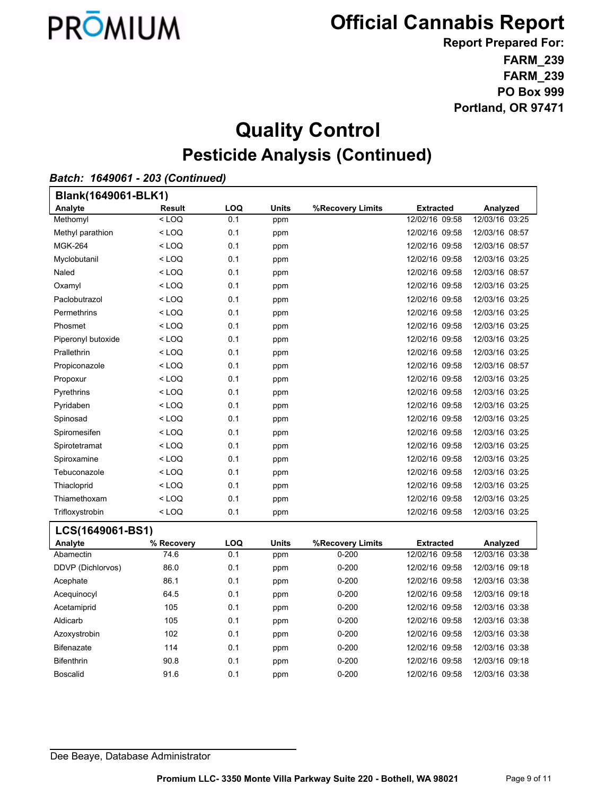

**FARM\_239 FARM\_239 PO Box 999 Portland, OR 97471 Report Prepared For:**

## **Quality Control Pesticide Analysis (Continued)**

#### *Batch: 1649061 - 203 (Continued)*

| Blank(1649061-BLK1) |               |            |              |                  |                  |                |  |
|---------------------|---------------|------------|--------------|------------------|------------------|----------------|--|
| Analyte             | <b>Result</b> | <b>LOQ</b> | <b>Units</b> | %Recovery Limits | <b>Extracted</b> | Analyzed       |  |
| Methomyl            | $<$ LOQ       | 0.1        | ppm          |                  | 12/02/16 09:58   | 12/03/16 03:25 |  |
| Methyl parathion    | $<$ LOQ       | 0.1        | ppm          |                  | 12/02/16 09:58   | 12/03/16 08:57 |  |
| <b>MGK-264</b>      | $<$ LOQ       | 0.1        | ppm          |                  | 12/02/16 09:58   | 12/03/16 08:57 |  |
| Myclobutanil        | $<$ LOQ       | 0.1        | ppm          |                  | 12/02/16 09:58   | 12/03/16 03:25 |  |
| Naled               | $<$ LOQ       | 0.1        | ppm          |                  | 12/02/16 09:58   | 12/03/16 08:57 |  |
| Oxamyl              | $<$ LOQ       | 0.1        | ppm          |                  | 12/02/16 09:58   | 12/03/16 03:25 |  |
| Paclobutrazol       | $<$ LOQ       | 0.1        | ppm          |                  | 12/02/16 09:58   | 12/03/16 03:25 |  |
| Permethrins         | $<$ LOQ       | 0.1        | ppm          |                  | 12/02/16 09:58   | 12/03/16 03:25 |  |
| Phosmet             | $<$ LOQ       | 0.1        | ppm          |                  | 12/02/16 09:58   | 12/03/16 03:25 |  |
| Piperonyl butoxide  | $<$ LOQ       | 0.1        | ppm          |                  | 12/02/16 09:58   | 12/03/16 03:25 |  |
| Prallethrin         | $<$ LOQ       | 0.1        | ppm          |                  | 12/02/16 09:58   | 12/03/16 03:25 |  |
| Propiconazole       | $<$ LOQ       | 0.1        | ppm          |                  | 12/02/16 09:58   | 12/03/16 08:57 |  |
| Propoxur            | $<$ LOQ       | 0.1        | ppm          |                  | 12/02/16 09:58   | 12/03/16 03:25 |  |
| Pyrethrins          | $<$ LOQ       | 0.1        | ppm          |                  | 12/02/16 09:58   | 12/03/16 03:25 |  |
| Pyridaben           | $<$ LOQ       | 0.1        | ppm          |                  | 12/02/16 09:58   | 12/03/16 03:25 |  |
| Spinosad            | $<$ LOQ       | 0.1        | ppm          |                  | 12/02/16 09:58   | 12/03/16 03:25 |  |
| Spiromesifen        | $<$ LOQ       | 0.1        | ppm          |                  | 12/02/16 09:58   | 12/03/16 03:25 |  |
| Spirotetramat       | $<$ LOQ       | 0.1        | ppm          |                  | 12/02/16 09:58   | 12/03/16 03:25 |  |
| Spiroxamine         | $<$ LOQ       | 0.1        | ppm          |                  | 12/02/16 09:58   | 12/03/16 03:25 |  |
| Tebuconazole        | $<$ LOQ       | 0.1        | ppm          |                  | 12/02/16 09:58   | 12/03/16 03:25 |  |
| Thiacloprid         | $<$ LOQ       | 0.1        | ppm          |                  | 12/02/16 09:58   | 12/03/16 03:25 |  |
| Thiamethoxam        | $<$ LOQ       | 0.1        | ppm          |                  | 12/02/16 09:58   | 12/03/16 03:25 |  |
| Trifloxystrobin     | $<$ LOQ       | 0.1        | ppm          |                  | 12/02/16 09:58   | 12/03/16 03:25 |  |

#### **LCS(1649061-BS1)**

| Analyte           | % Recovery | <b>LOQ</b> | <b>Units</b> | %Recovery Limits | <b>Extracted</b> | Analyzed       |
|-------------------|------------|------------|--------------|------------------|------------------|----------------|
| Abamectin         | 74.6       | 0.1        | ppm          | $0 - 200$        | 12/02/16 09:58   | 12/03/16 03:38 |
| DDVP (Dichlorvos) | 86.0       | 0.1        | ppm          | $0 - 200$        | 12/02/16 09:58   | 12/03/16 09:18 |
| Acephate          | 86.1       | 0.1        | ppm          | $0 - 200$        | 12/02/16 09:58   | 12/03/16 03:38 |
| Acequinocyl       | 64.5       | 0.1        | ppm          | $0 - 200$        | 12/02/16 09:58   | 12/03/16 09:18 |
| Acetamiprid       | 105        | 0.1        | ppm          | $0 - 200$        | 12/02/16 09:58   | 12/03/16 03:38 |
| Aldicarb          | 105        | 0.1        | ppm          | $0 - 200$        | 12/02/16 09:58   | 12/03/16 03:38 |
| Azoxystrobin      | 102        | 0.1        | ppm          | $0 - 200$        | 12/02/16 09:58   | 12/03/16 03:38 |
| <b>Bifenazate</b> | 114        | 0.1        | ppm          | $0 - 200$        | 12/02/16 09:58   | 12/03/16 03:38 |
| <b>Bifenthrin</b> | 90.8       | 0.1        | ppm          | $0 - 200$        | 12/02/16 09:58   | 12/03/16 09:18 |
| <b>Boscalid</b>   | 91.6       | 0.1        | ppm          | $0 - 200$        | 12/02/16 09:58   | 12/03/16 03:38 |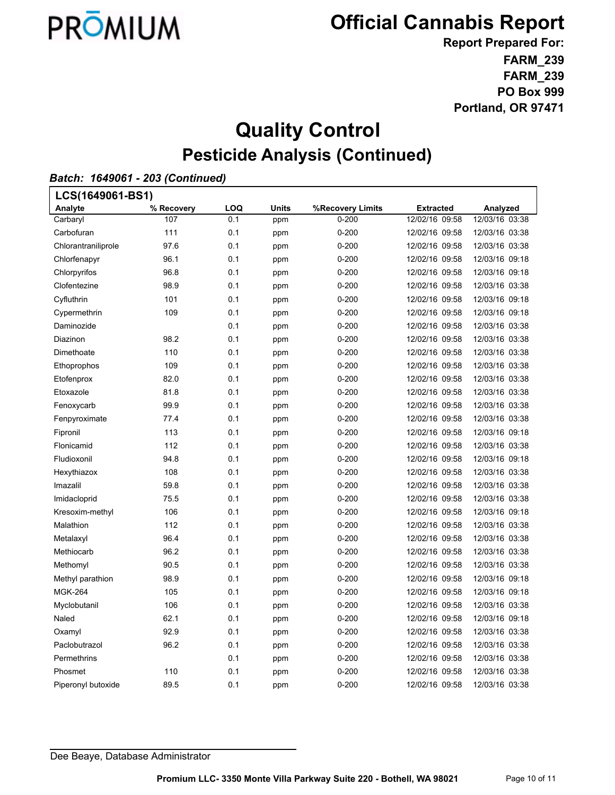

**FARM\_239 FARM\_239 PO Box 999 Portland, OR 97471 Report Prepared For:**

## **Quality Control Pesticide Analysis (Continued)**

### *Batch: 1649061 - 203 (Continued)*

| LCS(1649061-BS1)    |            |     |              |                  |                  |                |  |
|---------------------|------------|-----|--------------|------------------|------------------|----------------|--|
| Analyte             | % Recovery | LOQ | <b>Units</b> | %Recovery Limits | <b>Extracted</b> | Analyzed       |  |
| Carbaryl            | 107        | 0.1 | ppm          | $0 - 200$        | 12/02/16 09:58   | 12/03/16 03:38 |  |
| Carbofuran          | 111        | 0.1 | ppm          | $0 - 200$        | 12/02/16 09:58   | 12/03/16 03:38 |  |
| Chlorantraniliprole | 97.6       | 0.1 | ppm          | $0 - 200$        | 12/02/16 09:58   | 12/03/16 03:38 |  |
| Chlorfenapyr        | 96.1       | 0.1 | ppm          | $0 - 200$        | 12/02/16 09:58   | 12/03/16 09:18 |  |
| Chlorpyrifos        | 96.8       | 0.1 | ppm          | $0 - 200$        | 12/02/16 09:58   | 12/03/16 09:18 |  |
| Clofentezine        | 98.9       | 0.1 | ppm          | $0 - 200$        | 12/02/16 09:58   | 12/03/16 03:38 |  |
| Cyfluthrin          | 101        | 0.1 | ppm          | $0 - 200$        | 12/02/16 09:58   | 12/03/16 09:18 |  |
| Cypermethrin        | 109        | 0.1 | ppm          | $0 - 200$        | 12/02/16 09:58   | 12/03/16 09:18 |  |
| Daminozide          |            | 0.1 | ppm          | $0 - 200$        | 12/02/16 09:58   | 12/03/16 03:38 |  |
| Diazinon            | 98.2       | 0.1 | ppm          | $0 - 200$        | 12/02/16 09:58   | 12/03/16 03:38 |  |
| Dimethoate          | 110        | 0.1 | ppm          | $0 - 200$        | 12/02/16 09:58   | 12/03/16 03:38 |  |
| Ethoprophos         | 109        | 0.1 | ppm          | $0 - 200$        | 12/02/16 09:58   | 12/03/16 03:38 |  |
| Etofenprox          | 82.0       | 0.1 | ppm          | $0 - 200$        | 12/02/16 09:58   | 12/03/16 03:38 |  |
| Etoxazole           | 81.8       | 0.1 | ppm          | $0 - 200$        | 12/02/16 09:58   | 12/03/16 03:38 |  |
| Fenoxycarb          | 99.9       | 0.1 | ppm          | $0 - 200$        | 12/02/16 09:58   | 12/03/16 03:38 |  |
| Fenpyroximate       | 77.4       | 0.1 | ppm          | $0 - 200$        | 12/02/16 09:58   | 12/03/16 03:38 |  |
| Fipronil            | 113        | 0.1 | ppm          | $0 - 200$        | 12/02/16 09:58   | 12/03/16 09:18 |  |
| Flonicamid          | 112        | 0.1 | ppm          | $0 - 200$        | 12/02/16 09:58   | 12/03/16 03:38 |  |
| Fludioxonil         | 94.8       | 0.1 | ppm          | $0 - 200$        | 12/02/16 09:58   | 12/03/16 09:18 |  |
| Hexythiazox         | 108        | 0.1 | ppm          | $0 - 200$        | 12/02/16 09:58   | 12/03/16 03:38 |  |
| Imazalil            | 59.8       | 0.1 | ppm          | $0 - 200$        | 12/02/16 09:58   | 12/03/16 03:38 |  |
| Imidacloprid        | 75.5       | 0.1 | ppm          | $0 - 200$        | 12/02/16 09:58   | 12/03/16 03:38 |  |
| Kresoxim-methyl     | 106        | 0.1 | ppm          | $0 - 200$        | 12/02/16 09:58   | 12/03/16 09:18 |  |
| Malathion           | 112        | 0.1 | ppm          | $0 - 200$        | 12/02/16 09:58   | 12/03/16 03:38 |  |
| Metalaxyl           | 96.4       | 0.1 | ppm          | $0 - 200$        | 12/02/16 09:58   | 12/03/16 03:38 |  |
| Methiocarb          | 96.2       | 0.1 | ppm          | $0 - 200$        | 12/02/16 09:58   | 12/03/16 03:38 |  |
| Methomyl            | 90.5       | 0.1 | ppm          | $0 - 200$        | 12/02/16 09:58   | 12/03/16 03:38 |  |
| Methyl parathion    | 98.9       | 0.1 | ppm          | $0 - 200$        | 12/02/16 09:58   | 12/03/16 09:18 |  |
| <b>MGK-264</b>      | 105        | 0.1 | ppm          | $0 - 200$        | 12/02/16 09:58   | 12/03/16 09:18 |  |
| Myclobutanil        | 106        | 0.1 | ppm          | $0 - 200$        | 12/02/16 09:58   | 12/03/16 03:38 |  |
| Naled               | 62.1       | 0.1 | ppm          | $0 - 200$        | 12/02/16 09:58   | 12/03/16 09:18 |  |
| Oxamyl              | 92.9       | 0.1 | ppm          | $0 - 200$        | 12/02/16 09:58   | 12/03/16 03:38 |  |
| Paclobutrazol       | 96.2       | 0.1 | ppm          | $0 - 200$        | 12/02/16 09:58   | 12/03/16 03:38 |  |
| Permethrins         |            | 0.1 | ppm          | $0 - 200$        | 12/02/16 09:58   | 12/03/16 03:38 |  |
| Phosmet             | 110        | 0.1 | ppm          | $0 - 200$        | 12/02/16 09:58   | 12/03/16 03:38 |  |
| Piperonyl butoxide  | 89.5       | 0.1 | ppm          | $0 - 200$        | 12/02/16 09:58   | 12/03/16 03:38 |  |